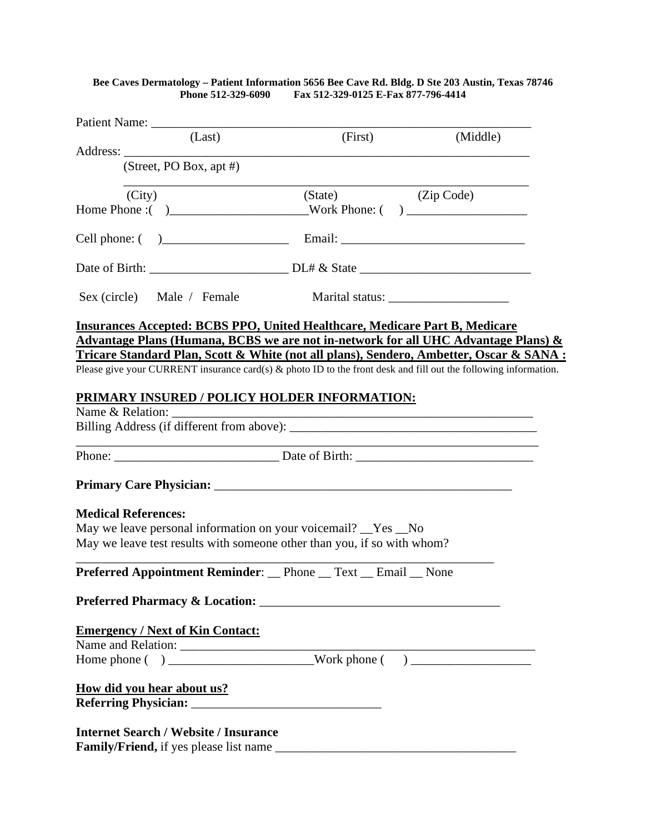|                                                                                                                    | Bee Caves Dermatology - Patient Information 5656 Bee Cave Rd. Bldg. D Ste 203 Austin, Texas 78746<br>Phone 512-329-6090 Fax 512-329-0125 E-Fax 877-796-4414 |                                                                                                                                                                                                                               |
|--------------------------------------------------------------------------------------------------------------------|-------------------------------------------------------------------------------------------------------------------------------------------------------------|-------------------------------------------------------------------------------------------------------------------------------------------------------------------------------------------------------------------------------|
|                                                                                                                    |                                                                                                                                                             |                                                                                                                                                                                                                               |
| (Last)                                                                                                             | (First)                                                                                                                                                     | (Middle)                                                                                                                                                                                                                      |
|                                                                                                                    |                                                                                                                                                             |                                                                                                                                                                                                                               |
| (Street, PO Box, apt #)                                                                                            |                                                                                                                                                             |                                                                                                                                                                                                                               |
| (City)                                                                                                             | (State) (Zip Code)                                                                                                                                          |                                                                                                                                                                                                                               |
|                                                                                                                    |                                                                                                                                                             |                                                                                                                                                                                                                               |
|                                                                                                                    |                                                                                                                                                             |                                                                                                                                                                                                                               |
|                                                                                                                    |                                                                                                                                                             |                                                                                                                                                                                                                               |
| Sex (circle) Male / Female                                                                                         |                                                                                                                                                             |                                                                                                                                                                                                                               |
| <b>Insurances Accepted: BCBS PPO, United Healthcare, Medicare Part B, Medicare</b>                                 |                                                                                                                                                             |                                                                                                                                                                                                                               |
| Advantage Plans (Humana, BCBS we are not in-network for all UHC Advantage Plans) $\&$                              |                                                                                                                                                             |                                                                                                                                                                                                                               |
| Tricare Standard Plan, Scott & White (not all plans), Sendero, Ambetter, Oscar & SANA :                            |                                                                                                                                                             |                                                                                                                                                                                                                               |
| Please give your CURRENT insurance card(s) $\&$ photo ID to the front desk and fill out the following information. |                                                                                                                                                             |                                                                                                                                                                                                                               |
|                                                                                                                    |                                                                                                                                                             |                                                                                                                                                                                                                               |
| PRIMARY INSURED / POLICY HOLDER INFORMATION:                                                                       |                                                                                                                                                             |                                                                                                                                                                                                                               |
| Name & Relation:                                                                                                   |                                                                                                                                                             |                                                                                                                                                                                                                               |
|                                                                                                                    |                                                                                                                                                             |                                                                                                                                                                                                                               |
|                                                                                                                    |                                                                                                                                                             | the control of the control of the control of the control of the control of the control of the control of the control of the control of the control of the control of the control of the control of the control of the control |
|                                                                                                                    |                                                                                                                                                             |                                                                                                                                                                                                                               |
|                                                                                                                    |                                                                                                                                                             |                                                                                                                                                                                                                               |
|                                                                                                                    |                                                                                                                                                             |                                                                                                                                                                                                                               |
| <b>Medical References:</b>                                                                                         |                                                                                                                                                             |                                                                                                                                                                                                                               |
| May we leave personal information on your voicemail? _Yes _No                                                      |                                                                                                                                                             |                                                                                                                                                                                                                               |
| May we leave test results with someone other than you, if so with whom?                                            |                                                                                                                                                             |                                                                                                                                                                                                                               |
| <b>Preferred Appointment Reminder:</b> Phone Text Email None                                                       |                                                                                                                                                             |                                                                                                                                                                                                                               |
|                                                                                                                    |                                                                                                                                                             |                                                                                                                                                                                                                               |
|                                                                                                                    |                                                                                                                                                             |                                                                                                                                                                                                                               |
| <b>Emergency / Next of Kin Contact:</b>                                                                            |                                                                                                                                                             |                                                                                                                                                                                                                               |
|                                                                                                                    |                                                                                                                                                             |                                                                                                                                                                                                                               |
|                                                                                                                    |                                                                                                                                                             |                                                                                                                                                                                                                               |
|                                                                                                                    |                                                                                                                                                             |                                                                                                                                                                                                                               |
| How did you hear about us?                                                                                         |                                                                                                                                                             |                                                                                                                                                                                                                               |
|                                                                                                                    |                                                                                                                                                             |                                                                                                                                                                                                                               |
|                                                                                                                    |                                                                                                                                                             |                                                                                                                                                                                                                               |
| <b>Internet Search / Website / Insurance</b>                                                                       |                                                                                                                                                             |                                                                                                                                                                                                                               |

**Family/Friend,** if yes please list name \_\_\_\_\_\_\_\_\_\_\_\_\_\_\_\_\_\_\_\_\_\_\_\_\_\_\_\_\_\_\_\_\_\_\_\_\_\_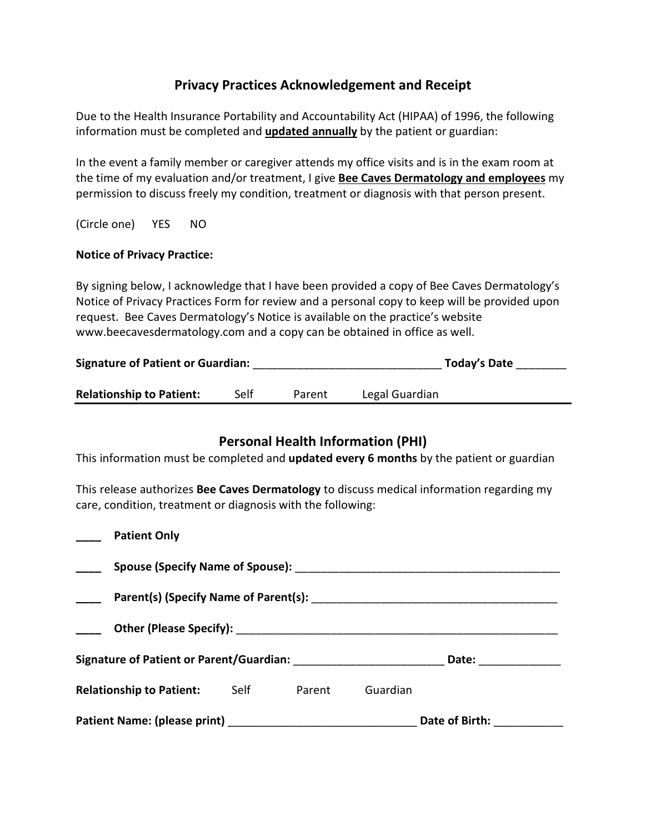# **Privacy Practices Acknowledgement and Receipt**

Due to the Health Insurance Portability and Accountability Act (HIPAA) of 1996, the following information must be completed and **updated annually** by the patient or guardian:

In the event a family member or caregiver attends my office visits and is in the exam room at the time of my evaluation and/or treatment, I give **Bee Caves Dermatology and employees** my permission to discuss freely my condition, treatment or diagnosis with that person present.

(Circle one) YES NO

### **Notice of Privacy Practice:**

By signing below, I acknowledge that I have been provided a copy of Bee Caves Dermatology's Notice of Privacy Practices Form for review and a personal copy to keep will be provided upon request. Bee Caves Dermatology's Notice is available on the practice's website www.beecavesdermatology.com and a copy can be obtained in office as well.

| <b>Signature of Patient or Guardian:</b> |      |        | Today's Date   |  |
|------------------------------------------|------|--------|----------------|--|
| <b>Relationship to Patient:</b>          | Self | Parent | Legal Guardian |  |

## **Personal Health Information (PHI)**

This information must be completed and **updated every 6 months** by the patient or guardian

This release authorizes **Bee Caves Dermatology** to discuss medical information regarding my care, condition, treatment or diagnosis with the following:

| <b>Patient Only</b>             |                  |        |          |                 |  |
|---------------------------------|------------------|--------|----------|-----------------|--|
|                                 |                  |        |          |                 |  |
|                                 |                  |        |          |                 |  |
|                                 |                  |        |          |                 |  |
|                                 |                  |        |          | Date: _________ |  |
| <b>Relationship to Patient:</b> | <b>Self Self</b> | Parent | Guardian |                 |  |
|                                 |                  |        |          | Date of Birth:  |  |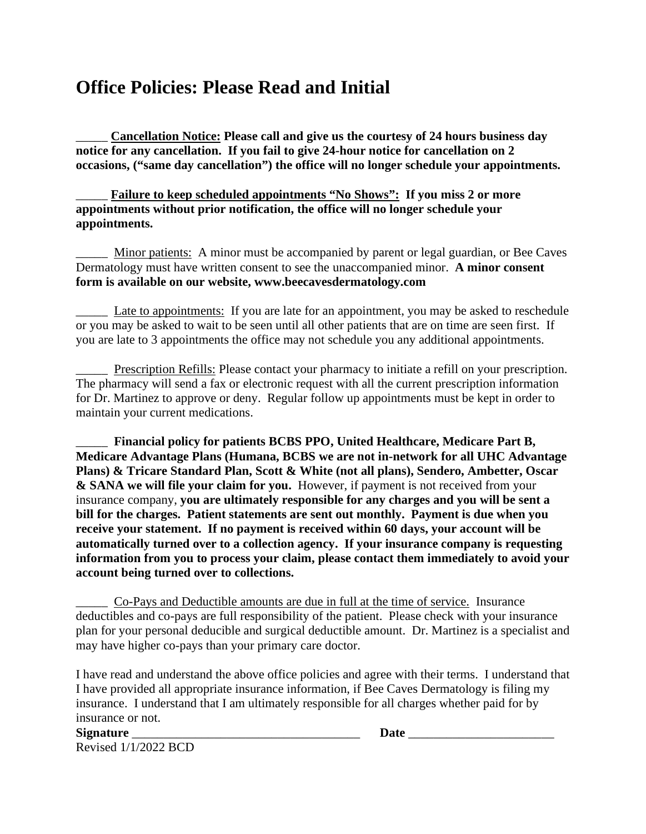# **Office Policies: Please Read and Initial**

\_\_\_\_\_ **Cancellation Notice: Please call and give us the courtesy of 24 hours business day notice for any cancellation. If you fail to give 24-hour notice for cancellation on 2 occasions, ("same day cancellation") the office will no longer schedule your appointments.**

## Failure to keep scheduled appointments "No Shows": If you miss 2 or more **appointments without prior notification, the office will no longer schedule your appointments.**

Minor patients: A minor must be accompanied by parent or legal guardian, or Bee Caves Dermatology must have written consent to see the unaccompanied minor. **A minor consent form is available on our website, www.beecavesdermatology.com** 

\_\_\_\_\_ Late to appointments: If you are late for an appointment, you may be asked to reschedule or you may be asked to wait to be seen until all other patients that are on time are seen first. If you are late to 3 appointments the office may not schedule you any additional appointments.

\_\_\_\_\_ Prescription Refills: Please contact your pharmacy to initiate a refill on your prescription. The pharmacy will send a fax or electronic request with all the current prescription information for Dr. Martinez to approve or deny. Regular follow up appointments must be kept in order to maintain your current medications.

\_\_\_\_\_ **Financial policy for patients BCBS PPO, United Healthcare, Medicare Part B, Medicare Advantage Plans (Humana, BCBS we are not in-network for all UHC Advantage Plans) & Tricare Standard Plan, Scott & White (not all plans), Sendero, Ambetter, Oscar & SANA we will file your claim for you.** However, if payment is not received from your insurance company, **you are ultimately responsible for any charges and you will be sent a bill for the charges. Patient statements are sent out monthly. Payment is due when you receive your statement. If no payment is received within 60 days, your account will be automatically turned over to a collection agency. If your insurance company is requesting information from you to process your claim, please contact them immediately to avoid your account being turned over to collections.** 

Co-Pays and Deductible amounts are due in full at the time of service. Insurance deductibles and co-pays are full responsibility of the patient. Please check with your insurance plan for your personal deducible and surgical deductible amount. Dr. Martinez is a specialist and may have higher co-pays than your primary care doctor.

I have read and understand the above office policies and agree with their terms. I understand that I have provided all appropriate insurance information, if Bee Caves Dermatology is filing my insurance. I understand that I am ultimately responsible for all charges whether paid for by insurance or not.

**Signature** the contract of the contract of the contract of the contract of the contract of the contract of the contract of the contract of the contract of the contract of the contract of the contract of the contract of th Revised 1/1/2022 BCD